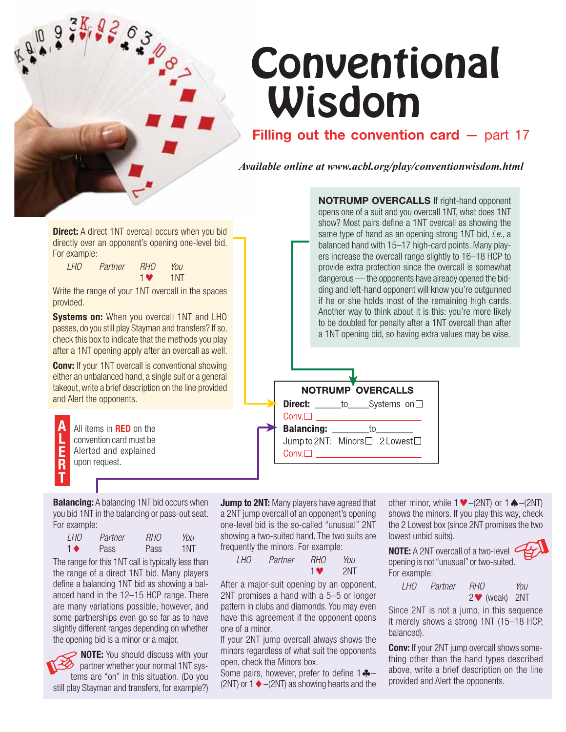

# **Filling out the convention card** – part 17

*Available online at www.acbl.org/play/conventionwisdom.html*

**Direct:** A direct 1NT overcall occurs when you bid directly over an opponent's opening one-level bid. For example:

| $H_0$ | Partner | <b>RHO</b> | You |
|-------|---------|------------|-----|
|       |         | <b>1V</b>  | 1NT |

Write the range of your 1NT overcall in the spaces provided.

**Systems on: When you overcall 1NT and LHO** passes, do you still play Stayman and transfers? If so, check this box to indicate that the methods you play after a 1NT opening apply after an overcall as well.

**Conv:** If your 1NT overcall is conventional showing either an unbalanced hand, a single suit or a general takeout, write a brief description on the line provided and Alert the opponents.

**A L E R T** All items in **RED** on the convention card must be Alerted and explained upon request.

**NOTRUMP OVERCALLS** If right-hand opponent opens one of a suit and you overcall 1NT, what does 1NT show? Most pairs define a 1NT overcall as showing the same type of hand as an opening strong 1NT bid, *i.e.,* a balanced hand with 15–17 high-card points. Many players increase the overcall range slightly to 16–18 HCP to provide extra protection since the overcall is somewhat dangerous — the opponents have already opened the bidding and left-hand opponent will know you're outgunned if he or she holds most of the remaining high cards. Another way to think about it is this: you're more likely to be doubled for penalty after a 1NT overcall than after a 1NT opening bid, so having extra values may be wise.

|                   | <b>NOTRUMP OVERCALLS</b>             |
|-------------------|--------------------------------------|
|                   | <b>Direct:</b> _____to____Systems on |
|                   |                                      |
| <b>Balancing:</b> | to                                   |
|                   | Jump to 2NT: Minors□ 2 Lowest□       |
|                   |                                      |
|                   |                                      |

**Balancing:** A balancing 1NT bid occurs when you bid 1NT in the balancing or pass-out seat. For example:

| I HO           | Partner | <i>RHO</i> | You |
|----------------|---------|------------|-----|
| $\blacksquare$ | Pass    | Pass       | 1NT |

The range for this 1NT call is typically less than the range of a direct 1NT bid. Many players define a balancing 1NT bid as showing a balanced hand in the 12–15 HCP range. There are many variations possible, however, and some partnerships even go so far as to have slightly different ranges depending on whether the opening bid is a minor or a major.

**NOTE:** You should discuss with your  $\delta$  partner whether your normal 1NT systems are "on" in this situation. (Do you still play Stayman and transfers, for example?)

**Jump to 2NT:** Many players have agreed that a 2NT jump overcall of an opponent's opening one-level bid is the so-called "unusual" 2NT showing a two-suited hand. The two suits are frequently the minors. For example:

 *LHO Partner RHO You* 19 March 2014 19 2NT

After a major-suit opening by an opponent, 2NT promises a hand with a 5–5 or longer pattern in clubs and diamonds. You may even have this agreement if the opponent opens one of a minor.

If your 2NT jump overcall always shows the minors regardless of what suit the opponents open, check the Minors box.

Some pairs, however, prefer to define  $1 - -$ (2NT) or  $1 \blacklozenge$  -(2NT) as showing hearts and the

other minor, while  $1 \blacktriangleright - (2NT)$  or  $1 \spadesuit - (2NT)$ shows the minors. If you play this way, check the 2 Lowest box (since 2NT promises the two lowest unbid suits).

**NOTE:** A 2NT overcall of a two-level opening is not "unusual" or two-suited. For example:

 *LHO Partner RHO You* 2- (weak) 2NT

Since 2NT is not a jump, in this sequence it merely shows a strong 1NT (15–18 HCP, balanced).

**Conv:** If your 2NT jump overcall shows something other than the hand types described above, write a brief description on the line provided and Alert the opponents.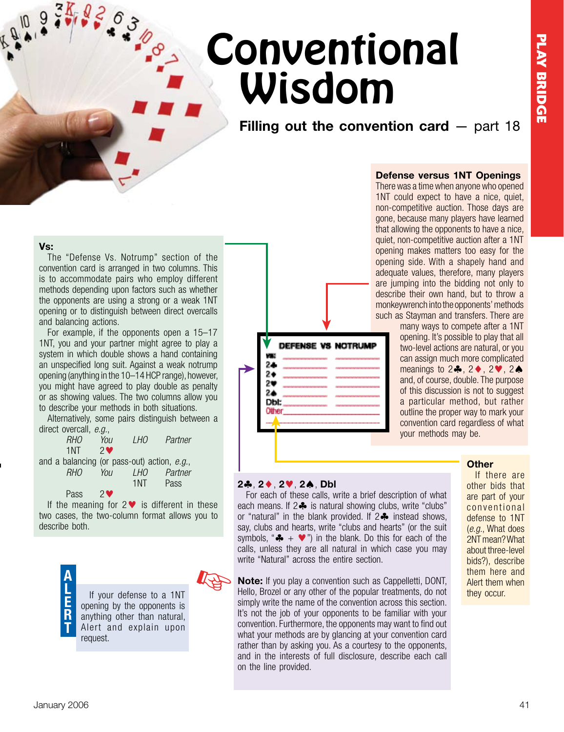**Filling out the convention card** — part 18

### **Vs:**

 $3K$  05

The "Defense Vs. Notrump" section of the convention card is arranged in two columns. This is to accommodate pairs who employ different methods depending upon factors such as whether the opponents are using a strong or a weak 1NT opening or to distinguish between direct overcalls and balancing actions.

For example, if the opponents open a 15–17 1NT, you and your partner might agree to play a system in which double shows a hand containing an unspecified long suit. Against a weak notrump opening (anything in the 10–14 HCP range), however, you might have agreed to play double as penalty or as showing values. The two columns allow you to describe your methods in both situations.

Alternatively, some pairs distinguish between a direct overcall, *e.g.* 

| <b>RHO</b>                                  | You                      | <i>LHO</i> | Partner |
|---------------------------------------------|--------------------------|------------|---------|
| 1NT                                         | $2\bullet$               |            |         |
| and a balancing (or pass-out) action, e.g., |                          |            |         |
| <b>RHO</b>                                  | You                      | $H_0$      | Partner |
|                                             |                          | 1NT        | Pass    |
| Pass                                        | $2$ $\blacktriangledown$ |            |         |

If the meaning for  $2 \blacktriangledown$  is different in these two cases, the two-column format allows you to describe both.



Age

∀ V DEFENSE VS NOTRUMP 24  $\blacktriangleright$  $2*$ 98 2≜ Dbl: Other ₳

## **Defense versus 1NT Openings**

There was a time when anyone who opened 1NT could expect to have a nice, quiet, non-competitive auction. Those days are gone, because many players have learned that allowing the opponents to have a nice, quiet, non-competitive auction after a 1NT opening makes matters too easy for the opening side. With a shapely hand and adequate values, therefore, many players are jumping into the bidding not only to describe their own hand, but to throw a monkeywrench into the opponents' methods such as Stayman and transfers. There are

many ways to compete after a 1NT opening. It's possible to play that all two-level actions are natural, or you can assign much more complicated meanings to  $2\clubsuit$ ,  $2\spadesuit$ ,  $2\spadesuit$ ,  $2\spadesuit$ and, of course, double. The purpose of this discussion is not to suggest a particular method, but rather outline the proper way to mark your convention card regardless of what your methods may be.

### **2**, **2**, **2**, **2**, **Dbl**

For each of these calls, write a brief description of what each means. If  $2 \clubsuit$  is natural showing clubs, write "clubs" or "natural" in the blank provided. If  $2\clubsuit$  instead shows, say, clubs and hearts, write "clubs and hearts" (or the suit symbols, " $\clubsuit$  +  $\triangledown$ ") in the blank. Do this for each of the calls, unless they are all natural in which case you may write "Natural" across the entire section.

**Note:** If you play a convention such as Cappelletti, DONT, If your defense to a 1NT Hello, Brozel or any other of the popular treatments, do not they occur. simply write the name of the convention across this section. It's not the job of your opponents to be familiar with your convention. Furthermore, the opponents may want to find out what your methods are by glancing at your convention card rather than by asking you. As a courtesy to the opponents, and in the interests of full disclosure, describe each call on the line provided.

### **Other**

If there are other bids that are part of your conventional defense to 1NT (*e.g.*, What does 2NT mean? What about three-level bids?), describe them here and Alert them when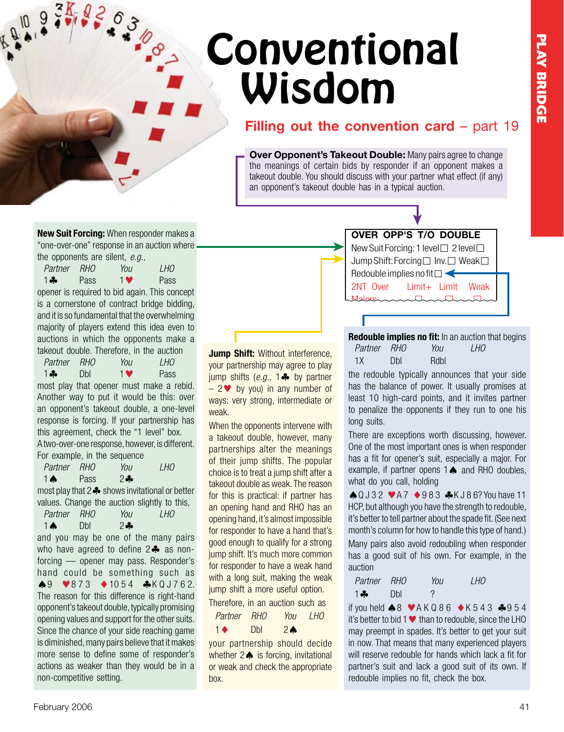# **Filling out the convention card – part 19**

**Over Opponent's Takeout Double:** Many pairs agree to change the meanings of certain bids by responder if an opponent makes a takeout double. You should discuss with your partner what effect (if any) an opponent's takeout double has in a typical auction.

**New Suit Forcing:** When responder makes a "one-over-one" response in an auction where the opponents are silent, *e.g.,*

*Partner RHO You LHO* 1. Pass  $1$  Pass

 $3K/65$ 

opener is required to bid again. This concept is a cornerstone of contract bridge bidding, and it is so fundamental that the overwhelming majority of players extend this idea even to auctions in which the opponents make a takeout double. Therefore, in the auction *Partner RHO You LHO*

1.4 Dbl  $1$  Pass most play that opener must make a rebid.

Another way to put it would be this: over an opponent's takeout double, a one-level response is forcing. If your partnership has this agreement, check the "1 level" box. A two-over-one response, however, is different. For example, in the sequence

*Partner RHO You LHO*  $1 \text{ A}$  Pass 2 $\text{A}$ most play that  $2\clubsuit$  shows invitational or better values. Change the auction slightly to this, *Partner RHO You LHO*  $1 \spadesuit$  Dbl  $2 \clubsuit$ and you may be one of the many pairs who have agreed to define  $2\clubsuit$  as nonforcing — opener may pass. Responder's hand could be something such as  $\clubsuit$ 9  $\blacktriangleright$ 873  $\spadesuit$ 1054  $\clubsuit$ KQJ762. The reason for this difference is right-hand opponent'stakeout double,typically promising opening values and support for the other suits. Since the chance of your side reaching game is diminished, many pairs believe that it makes more sense to define some of responder's actions as weaker than they would be in a non-competitive setting.

**Jump Shift:** Without interference, your partnership may agree to play jump shifts  $(e.g., 1 \clubsuit$  by partner  $-2$  by you) in any number of ways: very strong, intermediate or weak.

When the opponents intervene with a takeout double, however, many partnerships alter the meanings of their jump shifts. The popular choice is to treat a jump shift after a takeout double as weak. The reason for this is practical: if partner has an opening hand and RHO has an opening hand, it's almost impossible for responder to have a hand that's good enough to qualify for a strong jump shift. It's much more common for responder to have a weak hand with a long suit, making the weak jump shift a more useful option.

Therefore, in an auction such as

| Partner RHO    |            | You            | LH <sub>0</sub> |
|----------------|------------|----------------|-----------------|
| $\blacksquare$ | <b>Dbl</b> | 2 <sub>0</sub> |                 |

your partnership should decide whether  $2 \spadesuit$  is forcing, invitational or weak and check the appropriate box.



**Redouble implies no fit:** In an auction that begins *Partner RHO You LHO* 1X Dbl Rdbl

the redouble typically announces that your side has the balance of power. It usually promises at least 10 high-card points, and it invites partner to penalize the opponents if they run to one his long suits.

There are exceptions worth discussing, however. One of the most important ones is when responder has a fit for opener's suit, especially a major. For example, if partner opens  $1 \spadesuit$  and RHO doubles, what do you call, holding

 $\bigcirc$  Q J 3 2  $\bigcirc$  A 7  $\bigcirc$  9 8 3  $\bigcirc$  K J 8 6? You have 11 HCP, but although you have the strength to redouble, it's better to tell partner about the spade fit. (See next month's column for how to handle this type of hand.) Many pairs also avoid redoubling when responder has a good suit of his own. For example, in the auction

| Partner RHO |     | You | <i>LHO</i> |
|-------------|-----|-----|------------|
| $1 - 1$     | Dbl | C.  |            |

if you held  $\triangle 8$  VAK Q 8 6  $\triangle K$  543  $\triangle$  954 it's better to bid 1  $\blacktriangledown$  than to redouble, since the LHO may preempt in spades. It's better to get your suit in now. That means that many experienced players will reserve redouble for hands which lack a fit for partner's suit and lack a good suit of its own. If redouble implies no fit, check the box.